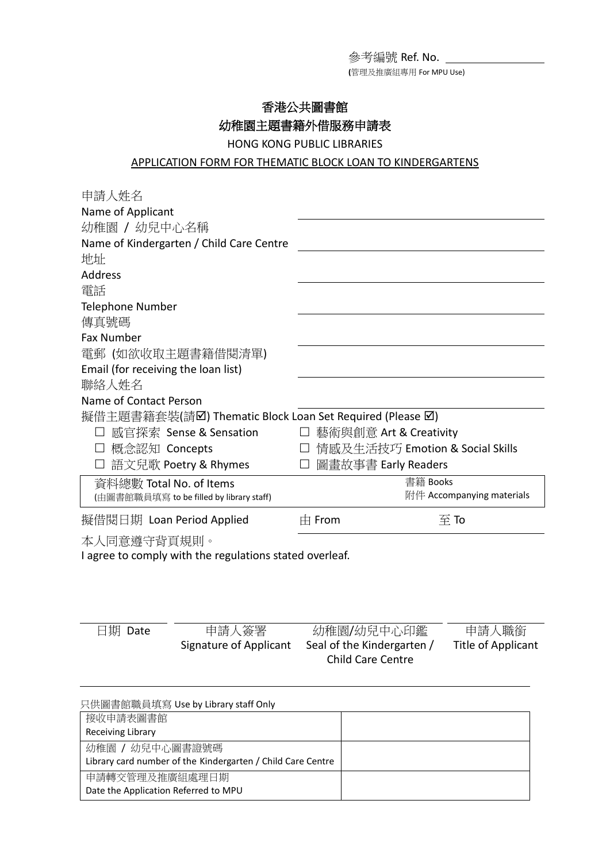參考編號 Ref. No.

**(**管理及推廣組專用 For MPU Use)

## 香港公共圖書館 幼稚園主題書籍外借服務申請表

HONG KONG PUBLIC LIBRARIES

## APPLICATION FORM FOR THEMATIC BLOCK LOAN TO KINDERGARTENS

| 申請人姓名                                                    |            |                                 |  |  |
|----------------------------------------------------------|------------|---------------------------------|--|--|
| Name of Applicant                                        |            |                                 |  |  |
| 幼稚園 / 幼兒中心名稱                                             |            |                                 |  |  |
| Name of Kindergarten / Child Care Centre                 |            |                                 |  |  |
| 地址                                                       |            |                                 |  |  |
| Address                                                  |            |                                 |  |  |
| 電話                                                       |            |                                 |  |  |
| <b>Telephone Number</b>                                  |            |                                 |  |  |
| 傳真號碼                                                     |            |                                 |  |  |
| <b>Fax Number</b>                                        |            |                                 |  |  |
| 電郵 (如欲收取主題書籍借閱清單)                                        |            |                                 |  |  |
| Email (for receiving the loan list)                      |            |                                 |  |  |
| 聯絡人姓名                                                    |            |                                 |  |  |
| Name of Contact Person                                   |            |                                 |  |  |
| 擬借主題書籍套裝(請☑) Thematic Block Loan Set Required (Please ☑) |            |                                 |  |  |
| 感官探索 Sense & Sensation                                   |            | 藝術與創意 Art & Creativity          |  |  |
| 概念認知 Concepts                                            | $\Box$     | 情感及生活技巧 Emotion & Social Skills |  |  |
| 語文兒歌 Poetry & Rhymes                                     |            | 圖畫故事書 Early Readers             |  |  |
| 資料總數 Total No. of Items                                  |            | 書籍 Books                        |  |  |
| (由圖書館職員填寫 to be filled by library staff)                 |            | 附件 Accompanying materials       |  |  |
| 擬借閱日期 Loan Period Applied                                | $\pm$ From | $\overline{\mathfrak{D}}$ To    |  |  |
| 本人同意遵守背頁規則。                                              |            |                                 |  |  |
| I agree to comply with the regulations stated overleaf.  |            |                                 |  |  |

| 日期 Date | 申請人簽署                  | 幼稚園/幼兒中心印鑑               | 申請人職銜              |
|---------|------------------------|--------------------------|--------------------|
|         | Signature of Applicant | Seal of the Kindergarten | Title of Applicant |
|         | Child Care Centre      |                          |                    |

| 只供圖書館職員填寫 Use by Library staff Only                         |  |
|-------------------------------------------------------------|--|
| 接收申請表圖書館                                                    |  |
| Receiving Library                                           |  |
| 幼稚園 / 幼兒中心圖書證號碼                                             |  |
| Library card number of the Kindergarten / Child Care Centre |  |
| 申請轉交管理及推廣組處理日期                                              |  |
| Date the Application Referred to MPU                        |  |